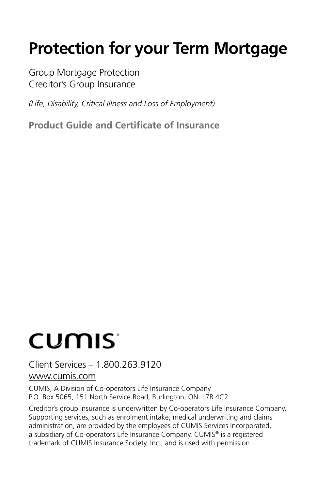## **Protection for your Term Mortgage**

Group Mortgage Protection Creditor's Group Insurance

*(Life, Disability, Critical Illness and Loss of Employment)*

**Product Guide and Certificate of Insurance**

# CUMIS<sup>®</sup>

Client Services – 1.800.263.9120 [www.cumis.com](https://www.cumis.com/)

CUMIS, A Division of Co-operators Life Insurance Company P.O. Box 5065, 151 North Service Road, Burlington, ON L7R 4C2

Creditor's group insurance is underwritten by Co-operators Life Insurance Company. Supporting services, such as enrolment intake, medical underwriting and claims administration, are provided by the employees of CUMIS Services Incorporated, a subsidiary of Co-operators Life Insurance Company. CUMIS® is a registered trademark of CUMIS Insurance Society, Inc., and is used with permission.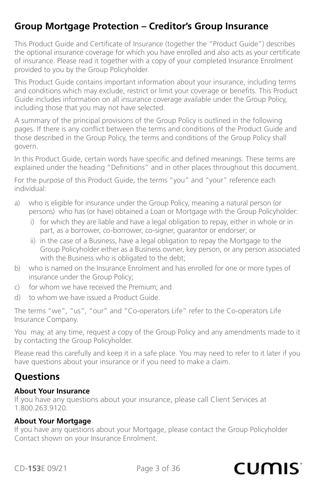### **Group Mortgage Protection – Creditor's Group Insurance**

This Product Guide and Certificate of Insurance (together the "Product Guide") describes the optional insurance coverage for which you have enrolled and also acts as your certificate of insurance. Please read it together with a copy of your completed Insurance Enrolment provided to you by the Group Policyholder.

This Product Guide contains important information about your insurance, including terms and conditions which may exclude, restrict or limit your coverage or benefits. This Product Guide includes information on all insurance coverage available under the Group Policy, including those that you may not have selected.

A summary of the principal provisions of the Group Policy is outlined in the following pages. If there is any conflict between the terms and conditions of the Product Guide and those described in the Group Policy, the terms and conditions of the Group Policy shall govern.

In this Product Guide, certain words have specific and defined meanings. These terms are explained under the heading "Definitions" and in other places throughout this document.

For the purpose of this Product Guide, the terms "you" and "your" reference each individual:

- a) who is eligible for insurance under the Group Policy, meaning a natural person (or persons) who has (or have) obtained a Loan or Mortgage with the Group Policyholder:
	- i) for which they are liable and have a legal obligation to repay, either in whole or in part, as a borrower, co-borrower, co-signer, quarantor or endorser; or
	- ii) in the case of a Business, have a legal obligation to repay the Mortgage to the Group Policyholder either as a Business owner, key person, or any person associated with the Business who is obligated to the debt;
- b) who is named on the Insurance Enrolment and has enrolled for one or more types of insurance under the Group Policy;
- c) for whom we have received the Premium; and
- d) to whom we have issued a Product Guide.

The terms "we", "us", "our" and "Co-operators Life" refer to the Co-operators Life Insurance Company.

You may, at any time, request a copy of the Group Policy and any amendments made to it by contacting the Group Policyholder.

Please read this carefully and keep it in a safe place. You may need to refer to it later if you have questions about your insurance or if you need to make a claim.

### **Questions**

#### **About Your Insurance**

If you have any questions about your insurance, please call Client Services at 1.800.263.9120.

#### **About Your Mortgage**

If you have any questions about your Mortgage, please contact the Group Policyholder Contact shown on your Insurance Enrolment.

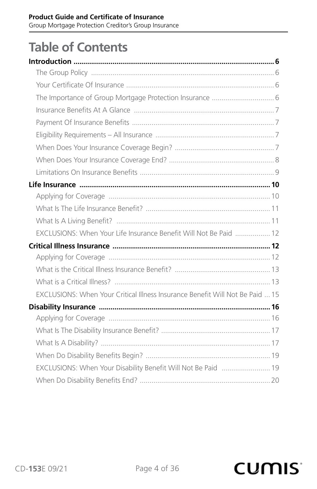## **Table of Contents**

| EXCLUSIONS: When Your Life Insurance Benefit Will Not Be Paid  12             |  |
|-------------------------------------------------------------------------------|--|
|                                                                               |  |
|                                                                               |  |
|                                                                               |  |
|                                                                               |  |
| EXCLUSIONS: When Your Critical Illness Insurance Benefit Will Not Be Paid  15 |  |
|                                                                               |  |
|                                                                               |  |
|                                                                               |  |
|                                                                               |  |
|                                                                               |  |
| EXCLUSIONS: When Your Disability Benefit Will Not Be Paid  19                 |  |
|                                                                               |  |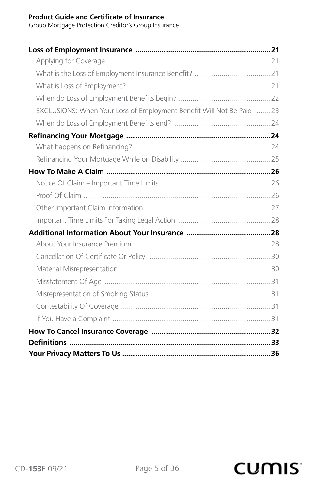| EXCLUSIONS: When Your Loss of Employment Benefit Will Not Be Paid  23 |  |
|-----------------------------------------------------------------------|--|
|                                                                       |  |
|                                                                       |  |
|                                                                       |  |
|                                                                       |  |
|                                                                       |  |
|                                                                       |  |
|                                                                       |  |
|                                                                       |  |
|                                                                       |  |
|                                                                       |  |
|                                                                       |  |
|                                                                       |  |
|                                                                       |  |
|                                                                       |  |
|                                                                       |  |
|                                                                       |  |
|                                                                       |  |
|                                                                       |  |
|                                                                       |  |
|                                                                       |  |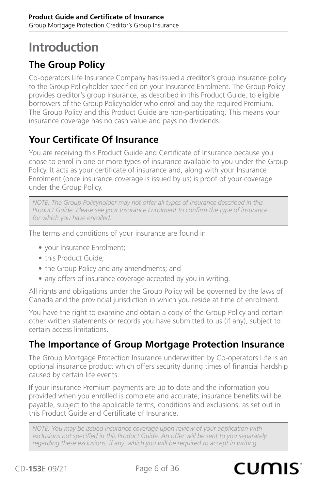## <span id="page-5-0"></span>**Introduction**

## **The Group Policy**

Co-operators Life Insurance Company has issued a creditor's group insurance policy to the Group Policyholder specified on your Insurance Enrolment. The Group Policy provides creditor's group insurance, as described in this Product Guide, to eligible borrowers of the Group Policyholder who enrol and pay the required Premium. The Group Policy and this Product Guide are non-participating. This means your insurance coverage has no cash value and pays no dividends.

## **Your Certificate Of Insurance**

You are receiving this Product Guide and Certificate of Insurance because you chose to enrol in one or more types of insurance available to you under the Group Policy. It acts as your certificate of insurance and, along with your Insurance Enrolment (once insurance coverage is issued by us) is proof of your coverage under the Group Policy.

*NOTE: The Group Policyholder may not offer all types of insurance described in this Product Guide. Please see your Insurance Enrolment to confirm the type of insurance for which you have enrolled.*

The terms and conditions of your insurance are found in:

- your Insurance Enrolment;
- this Product Guide;
- the Group Policy and any amendments; and
- any offers of insurance coverage accepted by you in writing.

All rights and obligations under the Group Policy will be governed by the laws of Canada and the provincial jurisdiction in which you reside at time of enrolment.

You have the right to examine and obtain a copy of the Group Policy and certain other written statements or records you have submitted to us (if any), subject to certain access limitations.

## **The Importance of Group Mortgage Protection Insurance**

The Group Mortgage Protection Insurance underwritten by Co-operators Life is an optional insurance product which offers security during times of financial hardship caused by certain life events.

If your insurance Premium payments are up to date and the information you provided when you enrolled is complete and accurate, insurance benefits will be payable, subject to the applicable terms, conditions and exclusions, as set out in this Product Guide and Certificate of Insurance.

*NOTE: You may be issued insurance coverage upon review of your application with exclusions not specified in this Product Guide. An offer will be sent to you separately regarding these exclusions, if any, which you will be required to accept in writing.*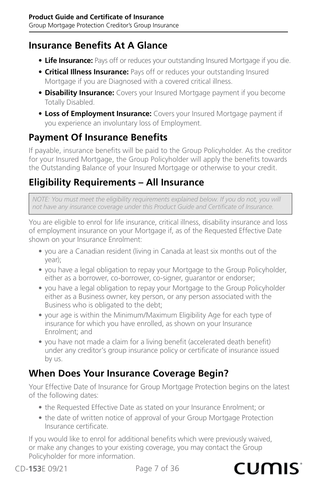### <span id="page-6-0"></span>**Insurance Benefits At A Glance**

- **Life Insurance:** Pays off or reduces your outstanding Insured Mortgage if you die.
- **Critical Illness Insurance:** Pays off or reduces your outstanding Insured Mortgage if you are Diagnosed with a covered critical illness.
- **Disability Insurance:** Covers your Insured Mortgage payment if you become Totally Disabled.
- **Loss of Employment Insurance:** Covers your Insured Mortgage payment if you experience an involuntary loss of Employment.

### **Payment Of Insurance Benefits**

If payable, insurance benefits will be paid to the Group Policyholder. As the creditor for your Insured Mortgage, the Group Policyholder will apply the benefits towards the Outstanding Balance of your Insured Mortgage or otherwise to your credit.

## **Eligibility Requirements – All Insurance**

*NOTE: You must meet the eligibility requirements explained below. If you do not, you will not have any insurance coverage under this Product Guide and Certificate of Insurance.*

You are eligible to enrol for life insurance, critical illness, disability insurance and loss of employment insurance on your Mortgage if, as of the Requested Effective Date shown on your Insurance Enrolment:

- you are a Canadian resident (living in Canada at least six months out of the year);
- you have a legal obligation to repay your Mortgage to the Group Policyholder, either as a borrower, co-borrower, co-signer, guarantor or endorser;
- you have a legal obligation to repay your Mortgage to the Group Policyholder either as a Business owner, key person, or any person associated with the Business who is obligated to the debt;
- your age is within the Minimum/Maximum Eligibility Age for each type of insurance for which you have enrolled, as shown on your Insurance Enrolment; and
- you have not made a claim for a living benefit (accelerated death benefit) under any creditor's group insurance policy or certificate of insurance issued by us.

## **When Does Your Insurance Coverage Begin?**

Your Effective Date of Insurance for Group Mortgage Protection begins on the latest of the following dates:

- the Requested Effective Date as stated on your Insurance Enrolment; or
- the date of written notice of approval of your Group Mortgage Protection Insurance certificate.

If you would like to enrol for additional benefits which were previously waived, or make any changes to your existing coverage, you may contact the Group Policyholder for more information.

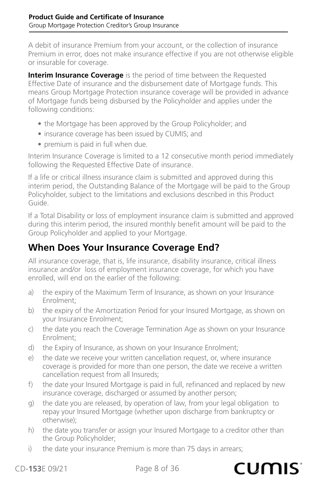<span id="page-7-0"></span>A debit of insurance Premium from your account, or the collection of insurance Premium in error, does not make insurance effective if you are not otherwise eligible or insurable for coverage.

**Interim Insurance Coverage** is the period of time between the Requested Effective Date of insurance and the disbursement date of Mortgage funds. This means Group Mortgage Protection insurance coverage will be provided in advance of Mortgage funds being disbursed by the Policyholder and applies under the following conditions:

- the Mortgage has been approved by the Group Policyholder; and
- insurance coverage has been issued by CUMIS; and
- premium is paid in full when due.

Interim Insurance Coverage is limited to a 12 consecutive month period immediately following the Requested Effective Date of insurance.

If a life or critical illness insurance claim is submitted and approved during this interim period, the Outstanding Balance of the Mortgage will be paid to the Group Policyholder, subject to the limitations and exclusions described in this Product Guide.

If a Total Disability or loss of employment insurance claim is submitted and approved during this interim period, the insured monthly benefit amount will be paid to the Group Policyholder and applied to your Mortgage.

## **When Does Your Insurance Coverage End?**

All insurance coverage, that is, life insurance, disability insurance, critical illness insurance and/or loss of employment insurance coverage, for which you have enrolled, will end on the earlier of the following:

- a) the expiry of the Maximum Term of Insurance, as shown on your Insurance Enrolment;
- b) the expiry of the Amortization Period for your Insured Mortgage, as shown on your Insurance Enrolment;
- c) the date you reach the Coverage Termination Age as shown on your Insurance Enrolment:
- d) the Expiry of Insurance, as shown on your Insurance Enrolment;
- e) the date we receive your written cancellation request, or, where insurance coverage is provided for more than one person, the date we receive a written cancellation request from all Insureds;
- f) the date your Insured Mortgage is paid in full, refinanced and replaced by new insurance coverage, discharged or assumed by another person;
- g) the date you are released, by operation of law, from your legal obligation to repay your Insured Mortgage (whether upon discharge from bankruptcy or otherwise):
- h) the date you transfer or assign your Insured Mortgage to a creditor other than the Group Policyholder;
- i) the date your insurance Premium is more than 75 days in arrears;

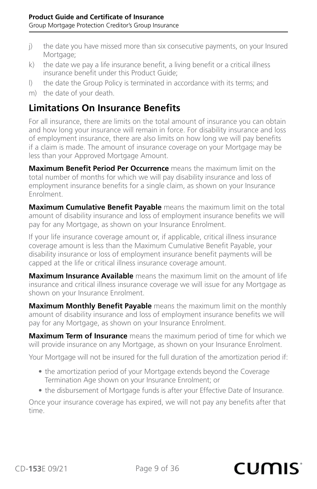- <span id="page-8-0"></span>j) the date you have missed more than six consecutive payments, on your Insured Mortgage;
- k) the date we pay a life insurance benefit, a living benefit or a critical illness insurance benefit under this Product Guide;
- l) the date the Group Policy is terminated in accordance with its terms; and
- m) the date of your death.

#### **Limitations On Insurance Benefits**

For all insurance, there are limits on the total amount of insurance you can obtain and how long your insurance will remain in force. For disability insurance and loss of employment insurance, there are also limits on how long we will pay benefits if a claim is made. The amount of insurance coverage on your Mortgage may be less than your Approved Mortgage Amount.

**Maximum Benefit Period Per Occurrence** means the maximum limit on the total number of months for which we will pay disability insurance and loss of employment insurance benefits for a single claim, as shown on your Insurance Enrolment.

**Maximum Cumulative Benefit Payable** means the maximum limit on the total amount of disability insurance and loss of employment insurance benefits we will pay for any Mortgage, as shown on your Insurance Enrolment.

If your life insurance coverage amount or, if applicable, critical illness insurance coverage amount is less than the Maximum Cumulative Benefit Payable, your disability insurance or loss of employment insurance benefit payments will be capped at the life or critical illness insurance coverage amount.

**Maximum Insurance Available** means the maximum limit on the amount of life insurance and critical illness insurance coverage we will issue for any Mortgage as shown on your Insurance Enrolment.

**Maximum Monthly Benefit Payable** means the maximum limit on the monthly amount of disability insurance and loss of employment insurance benefits we will pay for any Mortgage, as shown on your Insurance Enrolment.

**Maximum Term of Insurance** means the maximum period of time for which we will provide insurance on any Mortgage, as shown on your Insurance Enrolment.

Your Mortgage will not be insured for the full duration of the amortization period if:

- the amortization period of your Mortgage extends beyond the Coverage Termination Age shown on your Insurance Enrolment; or
- the disbursement of Mortgage funds is after your Effective Date of Insurance.

Once your insurance coverage has expired, we will not pay any benefits after that time.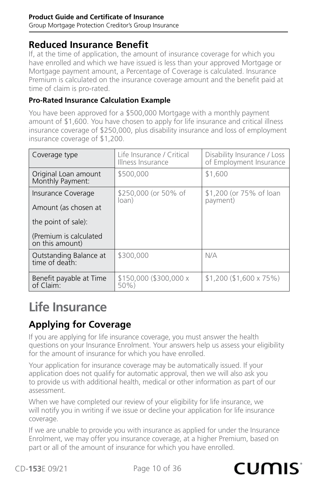### <span id="page-9-0"></span>**Reduced Insurance Benefit**

If, at the time of application, the amount of insurance coverage for which you have enrolled and which we have issued is less than your approved Mortgage or Mortgage payment amount, a Percentage of Coverage is calculated. Insurance Premium is calculated on the insurance coverage amount and the benefit paid at time of claim is pro-rated.

#### **Pro-Rated Insurance Calculation Example**

You have been approved for a \$500,000 Mortgage with a monthly payment amount of \$1,600. You have chosen to apply for life insurance and critical illness insurance coverage of \$250,000, plus disability insurance and loss of employment insurance coverage of \$1,200.

| Coverage type                             | Life Insurance / Critical<br>Illness Insurance | Disability Insurance / Loss<br>of Employment Insurance |
|-------------------------------------------|------------------------------------------------|--------------------------------------------------------|
| Original Loan amount<br>Monthly Payment:  | \$500,000                                      | \$1,600                                                |
| Insurance Coverage                        | \$250,000 (or 50% of<br>loan)                  | \$1,200 (or 75% of loan                                |
| Amount (as chosen at                      |                                                | payment)                                               |
| the point of sale):                       |                                                |                                                        |
| (Premium is calculated<br>on this amount) |                                                |                                                        |
| Outstanding Balance at<br>time of death:  | \$300,000                                      | N/A                                                    |
| Benefit payable at Time<br>of Claim:      | \$150,000 (\$300,000 x<br>$50\%$ )             | $$1,200 ($1,600 \times 75\%)$                          |

## **Life Insurance**

## **Applying for Coverage**

If you are applying for life insurance coverage, you must answer the health questions on your Insurance Enrolment. Your answers help us assess your eligibility for the amount of insurance for which you have enrolled.

Your application for insurance coverage may be automatically issued. If your application does not qualify for automatic approval, then we will also ask you to provide us with additional health, medical or other information as part of our assessment.

When we have completed our review of your eligibility for life insurance, we will notify you in writing if we issue or decline your application for life insurance coverage.

If we are unable to provide you with insurance as applied for under the Insurance Enrolment, we may offer you insurance coverage, at a higher Premium, based on part or all of the amount of insurance for which you have enrolled.

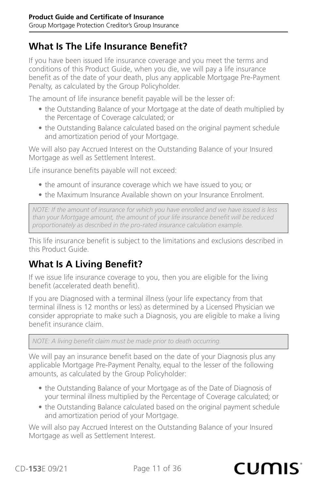### <span id="page-10-0"></span>**What Is The Life Insurance Benefit?**

If you have been issued life insurance coverage and you meet the terms and conditions of this Product Guide, when you die, we will pay a life insurance benefit as of the date of your death, plus any applicable Mortgage Pre-Payment Penalty, as calculated by the Group Policyholder.

The amount of life insurance benefit payable will be the lesser of:

- the Outstanding Balance of your Mortgage at the date of death multiplied by the Percentage of Coverage calculated; or
- the Outstanding Balance calculated based on the original payment schedule and amortization period of your Mortgage.

We will also pay Accrued Interest on the Outstanding Balance of your Insured Mortgage as well as Settlement Interest.

Life insurance benefits payable will not exceed:

- the amount of insurance coverage which we have issued to you; or
- the Maximum Insurance Available shown on your Insurance Enrolment.

*NOTE: If the amount of insurance for which you have enrolled and we have issued is less than your Mortgage amount, the amount of your life insurance benefit will be reduced proportionately as described in the pro-rated insurance calculation example.*

This life insurance benefit is subject to the limitations and exclusions described in this Product Guide.

## **What Is A Living Benefit?**

If we issue life insurance coverage to you, then you are eligible for the living benefit (accelerated death benefit).

If you are Diagnosed with a terminal illness (your life expectancy from that terminal illness is 12 months or less) as determined by a Licensed Physician we consider appropriate to make such a Diagnosis, you are eligible to make a living benefit insurance claim.

*NOTE: A living benefit claim must be made prior to death occurring.*

We will pay an insurance benefit based on the date of your Diagnosis plus any applicable Mortgage Pre-Payment Penalty, equal to the lesser of the following amounts, as calculated by the Group Policyholder:

- the Outstanding Balance of your Mortgage as of the Date of Diagnosis of your terminal illness multiplied by the Percentage of Coverage calculated; or
- the Outstanding Balance calculated based on the original payment schedule and amortization period of your Mortgage.

We will also pay Accrued Interest on the Outstanding Balance of your Insured Mortgage as well as Settlement Interest.

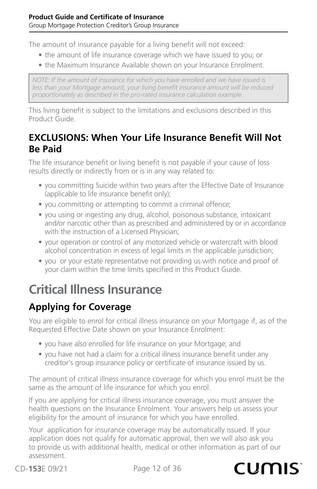<span id="page-11-0"></span>The amount of insurance payable for a living benefit will not exceed:

- the amount of life insurance coverage which we have issued to you; or
- the Maximum Insurance Available shown on your Insurance Enrolment.

*NOTE: If the amount of insurance for which you have enrolled and we have issued is less than your Mortgage amount, your living benefit insurance amount will be reduced proportionately as described in the pro-rated insurance calculation example.*

This living benefit is subject to the limitations and exclusions described in this Product Guide.

#### **EXCLUSIONS: When Your Life Insurance Benefit Will Not Be Paid**

The life insurance benefit or living benefit is not payable if your cause of loss results directly or indirectly from or is in any way related to:

- you committing Suicide within two years after the Effective Date of Insurance (applicable to life insurance benefit only);
- you committing or attempting to commit a criminal offence;
- you using or ingesting any drug, alcohol, poisonous substance, intoxicant and/or narcotic other than as prescribed and administered by or in accordance with the instruction of a Licensed Physician;
- your operation or control of any motorized vehicle or watercraft with blood alcohol concentration in excess of legal limits in the applicable jurisdiction;
- you or your estate representative not providing us with notice and proof of your claim within the time limits specified in this Product Guide.

## **Critical Illness Insurance**

## **Applying for Coverage**

You are eligible to enrol for critical illness insurance on your Mortgage if, as of the Requested Effective Date shown on your Insurance Enrolment:

- you have also enrolled for life insurance on your Mortgage; and
- you have not had a claim for a critical illness insurance benefit under any creditor's group insurance policy or certificate of insurance issued by us.

The amount of critical illness insurance coverage for which you enrol must be the same as the amount of life insurance for which you enrol.

If you are applying for critical illness insurance coverage, you must answer the health questions on the Insurance Enrolment. Your answers help us assess your eligibility for the amount of insurance for which you have enrolled.

Your application for insurance coverage may be automatically issued. If your application does not qualify for automatic approval, then we will also ask you to provide us with additional health, medical or other information as part of our assessment.

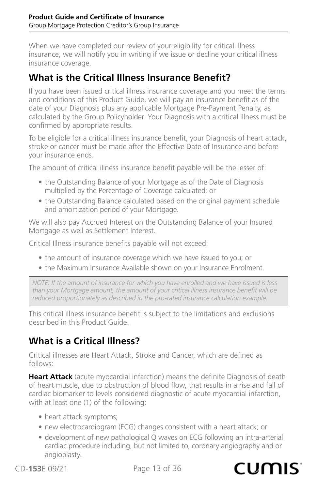<span id="page-12-0"></span>When we have completed our review of your eligibility for critical illness insurance, we will notify you in writing if we issue or decline your critical illness insurance coverage.

#### **What is the Critical Illness Insurance Benefit?**

If you have been issued critical illness insurance coverage and you meet the terms and conditions of this Product Guide, we will pay an insurance benefit as of the date of your Diagnosis plus any applicable Mortgage Pre-Payment Penalty, as calculated by the Group Policyholder. Your Diagnosis with a critical illness must be confirmed by appropriate results.

To be eligible for a critical illness insurance benefit, your Diagnosis of heart attack, stroke or cancer must be made after the Effective Date of Insurance and before your insurance ends.

The amount of critical illness insurance benefit payable will be the lesser of:

- the Outstanding Balance of your Mortgage as of the Date of Diagnosis multiplied by the Percentage of Coverage calculated; or
- the Outstanding Balance calculated based on the original payment schedule and amortization period of your Mortgage.

We will also pay Accrued Interest on the Outstanding Balance of your Insured Mortgage as well as Settlement Interest.

Critical Illness insurance benefits payable will not exceed:

- the amount of insurance coverage which we have issued to you; or
- the Maximum Insurance Available shown on your Insurance Enrolment.

*NOTE: If the amount of insurance for which you have enrolled and we have issued is less than your Mortgage amount, the amount of your critical illness insurance benefit will be reduced proportionately as described in the pro-rated insurance calculation example.*

This critical illness insurance benefit is subject to the limitations and exclusions described in this Product Guide.

## **What is a Critical Illness?**

Critical illnesses are Heart Attack, Stroke and Cancer, which are defined as follows:

**Heart Attack** (acute myocardial infarction) means the definite Diagnosis of death of heart muscle, due to obstruction of blood flow, that results in a rise and fall of cardiac biomarker to levels considered diagnostic of acute myocardial infarction, with at least one (1) of the following:

- heart attack symptoms;
- new electrocardiogram (ECG) changes consistent with a heart attack; or
- development of new pathological Q waves on ECG following an intra-arterial cardiac procedure including, but not limited to, coronary angiography and or angioplasty.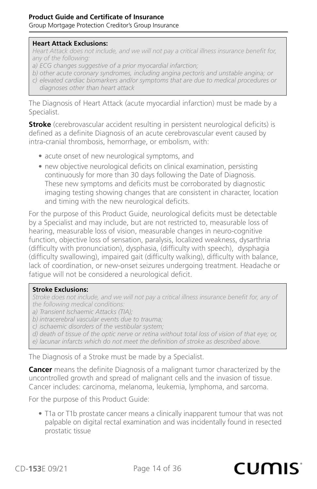#### **Product Guide and Certificate of Insurance**

Group Mortgage Protection Creditor's Group Insurance

#### **Heart Attack Exclusions:**

*Heart Attack does not include, and we will not pay a critical illness insurance benefit for, any of the following:*

- *a) ECG changes suggestive of a prior myocardial infarction;*
- *b) other acute coronary syndromes, including angina pectoris and unstable angina; or*
- *c) elevated cardiac biomarkers and/or symptoms that are due to medical procedures or diagnoses other than heart attack*

The Diagnosis of Heart Attack (acute myocardial infarction) must be made by a Specialist.

**Stroke** (cerebrovascular accident resulting in persistent neurological deficits) is defined as a definite Diagnosis of an acute cerebrovascular event caused by intra-cranial thrombosis, hemorrhage, or embolism, with:

- acute onset of new neurological symptoms, and
- new objective neurological deficits on clinical examination, persisting continuously for more than 30 days following the Date of Diagnosis. These new symptoms and deficits must be corroborated by diagnostic imaging testing showing changes that are consistent in character, location and timing with the new neurological deficits.

For the purpose of this Product Guide, neurological deficits must be detectable by a Specialist and may include, but are not restricted to, measurable loss of hearing, measurable loss of vision, measurable changes in neuro-cognitive function, objective loss of sensation, paralysis, localized weakness, dysarthria (difficulty with pronunciation), dysphasia, (difficulty with speech), dysphagia (difficulty swallowing), impaired gait (difficulty walking), difficulty with balance, lack of coordination, or new-onset seizures undergoing treatment. Headache or fatigue will not be considered a neurological deficit.

#### **Stroke Exclusions:**

*Stroke does not include, and we will not pay a critical illness insurance benefit for, any of the following medical conditions:*

- *a) Transient Ischaemic Attacks (TIA);*
- *b) intracerebral vascular events due to trauma;*
- *c) ischaemic disorders of the vestibular system;*
- *d) death of tissue of the optic nerve or retina without total loss of vision of that eye; or,*

*e) lacunar infarcts which do not meet the definition of stroke as described above.*

The Diagnosis of a Stroke must be made by a Specialist.

**Cancer** means the definite Diagnosis of a malignant tumor characterized by the uncontrolled growth and spread of malignant cells and the invasion of tissue. Cancer includes: carcinoma, melanoma, leukemia, lymphoma, and sarcoma.

For the purpose of this Product Guide:

• T1a or T1b prostate cancer means a clinically inapparent tumour that was not palpable on digital rectal examination and was incidentally found in resected prostatic tissue

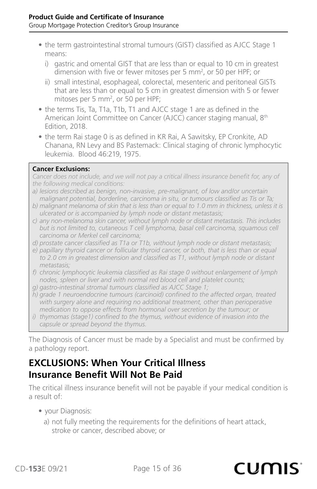- <span id="page-14-0"></span>• the term gastrointestinal stromal tumours (GIST) classified as AJCC Stage 1 means:
	- i) gastric and omental GIST that are less than or equal to 10 cm in greatest dimension with five or fewer mitoses per 5 mm<sup>2</sup>, or 50 per HPF; or
	- ii) small intestinal, esophageal, colorectal, mesenteric and peritoneal GISTs that are less than or equal to 5 cm in greatest dimension with 5 or fewer mitoses per 5 mm<sup>2</sup>, or 50 per HPF;
- the terms Tis, Ta, T1a, T1b, T1 and AJCC stage 1 are as defined in the American Joint Committee on Cancer (AJCC) cancer staging manual, 8th Edition, 2018.
- the term Rai stage 0 is as defined in KR Rai, A Sawitsky, EP Cronkite, AD Chanana, RN Levy and BS Pastemack: Clinical staging of chronic lymphocytic leukemia. Blood 46:219, 1975.

#### **Cancer Exclusions:**

*Cancer does not include, and we will not pay a critical illness insurance benefit for, any of the following medical conditions:*

- *a) lesions described as benign, non-invasive, pre-malignant, of low and/or uncertain malignant potential, borderline, carcinoma in situ, or tumours classified as Tis or Ta;*
- *b) malignant melanoma of skin that is less than or equal to 1.0 mm in thickness, unless it is ulcerated or is accompanied by lymph node or distant metastasis;*
- *c) any non-melanoma skin cancer, without lymph node or distant metastasis. This includes but is not limited to, cutaneous T cell lymphoma, basal cell carcinoma, squamous cell carcinoma or Merkel cell carcinoma;*
- *d) prostate cancer classified as T1a or T1b, without lymph node or distant metastasis;*
- *e) papillary thyroid cancer or follicular thyroid cancer, or both, that is less than or equal*  to 2.0 cm in greatest dimension and classified as T1, without lymph node or distant *metastasis;*
- *f) chronic lymphocytic leukemia classified as Rai stage 0 without enlargement of lymph nodes, spleen or liver and with normal red blood cell and platelet counts;*
- *g) gastro-intestinal stromal tumours classified as AJCC Stage 1;*
- *h) grade 1 neuroendocrine tumours (carcinoid) confined to the affected organ, treated with surgery alone and requiring no additional treatment, other than perioperative medication to oppose effects from hormonal over secretion by the tumour; or*
- *i) thymomas (stage1)* confined to the thymus, without evidence of invasion into the *capsule or spread beyond the thymus.*

The Diagnosis of Cancer must be made by a Specialist and must be confirmed by a pathology report.

## **EXCLUSIONS: When Your Critical Illness Insurance Benefit Will Not Be Paid**

The critical illness insurance benefit will not be payable if your medical condition is a result of:

- your Diagnosis:
	- a) not fully meeting the requirements for the definitions of heart attack, stroke or cancer, described above; or

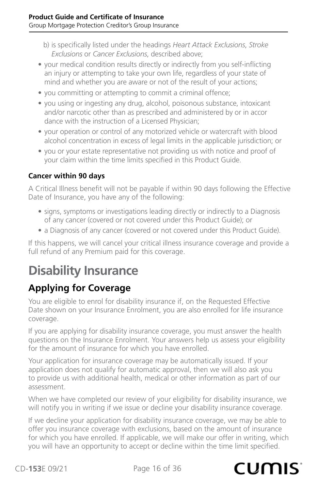- <span id="page-15-0"></span>b) is specifically listed under the headings *Heart Attack Exclusions*, *Stroke Exclusions* or *Cancer Exclusions*, described above;
- your medical condition results directly or indirectly from you self-inflicting an injury or attempting to take your own life, regardless of your state of mind and whether you are aware or not of the result of your actions;
- you committing or attempting to commit a criminal offence;
- you using or ingesting any drug, alcohol, poisonous substance, intoxicant and/or narcotic other than as prescribed and administered by or in accor dance with the instruction of a Licensed Physician;
- your operation or control of any motorized vehicle or watercraft with blood alcohol concentration in excess of legal limits in the applicable jurisdiction; or
- you or your estate representative not providing us with notice and proof of your claim within the time limits specified in this Product Guide.

#### **Cancer within 90 days**

A Critical Illness benefit will not be payable if within 90 days following the Effective Date of Insurance, you have any of the following:

- signs, symptoms or investigations leading directly or indirectly to a Diagnosis of any cancer (covered or not covered under this Product Guide); or
- a Diagnosis of any cancer (covered or not covered under this Product Guide).

If this happens, we will cancel your critical illness insurance coverage and provide a full refund of any Premium paid for this coverage.

## **Disability Insurance**

## **Applying for Coverage**

You are eligible to enrol for disability insurance if, on the Requested Effective Date shown on your Insurance Enrolment, you are also enrolled for life insurance coverage.

If you are applying for disability insurance coverage, you must answer the health questions on the Insurance Enrolment. Your answers help us assess your eligibility for the amount of insurance for which you have enrolled.

Your application for insurance coverage may be automatically issued. If your application does not qualify for automatic approval, then we will also ask you to provide us with additional health, medical or other information as part of our assessment.

When we have completed our review of your eligibility for disability insurance, we will notify you in writing if we issue or decline your disability insurance coverage.

If we decline your application for disability insurance coverage, we may be able to offer you insurance coverage with exclusions, based on the amount of insurance for which you have enrolled. If applicable, we will make our offer in writing, which you will have an opportunity to accept or decline within the time limit specified.

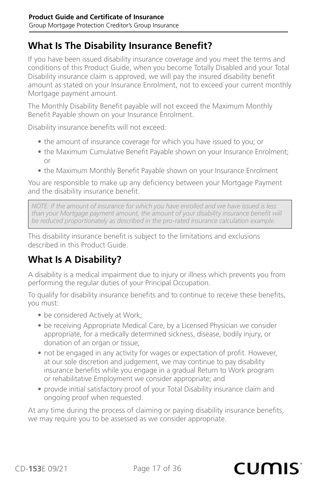### <span id="page-16-0"></span>**What Is The Disability Insurance Benefit?**

If you have been issued disability insurance coverage and you meet the terms and conditions of this Product Guide, when you become Totally Disabled and your Total Disability insurance claim is approved, we will pay the insured disability benefit amount as stated on your Insurance Enrolment, not to exceed your current monthly Mortgage payment amount.

The Monthly Disability Benefit payable will not exceed the Maximum Monthly Benefit Payable shown on your Insurance Enrolment.

Disability insurance benefits will not exceed:

- the amount of insurance coverage for which you have issued to you; or
- the Maximum Cumulative Benefit Payable shown on your Insurance Enrolment; or
- the Maximum Monthly Benefit Payable shown on your Insurance Enrolment

You are responsible to make up any deficiency between your Mortgage Payment and the disability insurance benefit.

*NOTE: If the amount of insurance for which you have enrolled and we have issued is less than your Mortgage payment amount, the amount of your disability insurance benefit will be reduced proportionately as described in the pro-rated insurance calculation example.*

This disability insurance benefit is subject to the limitations and exclusions described in this Product Guide.

## **What Is A Disability?**

A disability is a medical impairment due to injury or illness which prevents you from performing the regular duties of your Principal Occupation.

To qualify for disability insurance benefits and to continue to receive these benefits, you must:

- be considered Actively at Work;
- be receiving Appropriate Medical Care, by a Licensed Physician we consider appropriate, for a medically determined sickness, disease, bodily injury, or donation of an organ or tissue;
- not be engaged in any activity for wages or expectation of profit. However, at our sole discretion and judgement, we may continue to pay disability insurance benefits while you engage in a gradual Return to Work program or rehabilitative Employment we consider appropriate; and
- provide initial satisfactory proof of your Total Disability insurance claim and ongoing proof when requested.

At any time during the process of claiming or paying disability insurance benefits, we may require you to be assessed as we consider appropriate.

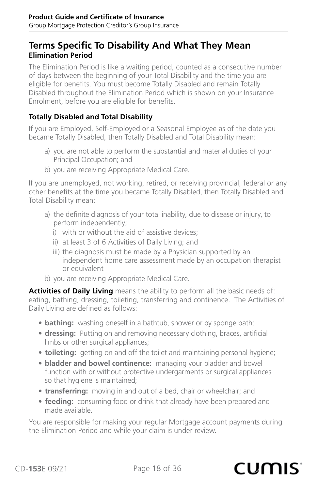#### **Terms Specific To Disability And What They Mean Elimination Period**

The Elimination Period is like a waiting period, counted as a consecutive number of days between the beginning of your Total Disability and the time you are eligible for benefits. You must become Totally Disabled and remain Totally Disabled throughout the Elimination Period which is shown on your Insurance Enrolment, before you are eligible for benefits.

#### **Totally Disabled and Total Disability**

If you are Employed, Self-Employed or a Seasonal Employee as of the date you became Totally Disabled, then Totally Disabled and Total Disability mean:

- a) you are not able to perform the substantial and material duties of your Principal Occupation; and
- b) you are receiving Appropriate Medical Care.

If you are unemployed, not working, retired, or receiving provincial, federal or any other benefits at the time you became Totally Disabled, then Totally Disabled and Total Disability mean:

- a) the definite diagnosis of your total inability, due to disease or injury, to perform independently;
	- i) with or without the aid of assistive devices;
	- ii) at least 3 of 6 Activities of Daily Living; and
	- iii) the diagnosis must be made by a Physician supported by an independent home care assessment made by an occupation therapist or equivalent
- b) you are receiving Appropriate Medical Care.

**Activities of Daily Living** means the ability to perform all the basic needs of: eating, bathing, dressing, toileting, transferring and continence. The Activities of Daily Living are defined as follows:

- **bathing:** washing oneself in a bathtub, shower or by sponge bath;
- **dressing:** Putting on and removing necessary clothing, braces, artificial limbs or other surgical appliances;
- **toileting:** getting on and off the toilet and maintaining personal hygiene;
- **bladder and bowel continence:** managing your bladder and bowel function with or without protective undergarments or surgical appliances so that hygiene is maintained;
- **transferring:** moving in and out of a bed, chair or wheelchair; and
- **feeding:** consuming food or drink that already have been prepared and made available.

You are responsible for making your regular Mortgage account payments during the Elimination Period and while your claim is under review.

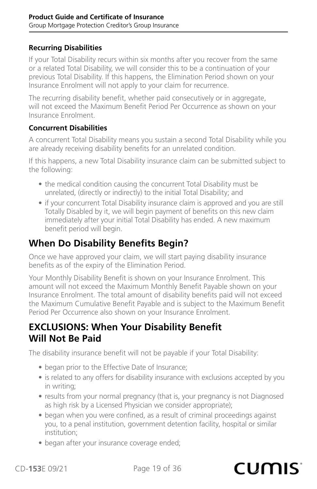#### <span id="page-18-0"></span>**Recurring Disabilities**

If your Total Disability recurs within six months after you recover from the same or a related Total Disability, we will consider this to be a continuation of your previous Total Disability. If this happens, the Elimination Period shown on your Insurance Enrolment will not apply to your claim for recurrence.

The recurring disability benefit, whether paid consecutively or in aggregate, will not exceed the Maximum Benefit Period Per Occurrence as shown on your Insurance Enrolment.

#### **Concurrent Disabilities**

A concurrent Total Disability means you sustain a second Total Disability while you are already receiving disability benefits for an unrelated condition.

If this happens, a new Total Disability insurance claim can be submitted subject to the following:

- the medical condition causing the concurrent Total Disability must be unrelated, (directly or indirectly) to the initial Total Disability; and
- if your concurrent Total Disability insurance claim is approved and you are still Totally Disabled by it, we will begin payment of benefits on this new claim immediately after your initial Total Disability has ended. A new maximum benefit period will begin.

#### **When Do Disability Benefits Begin?**

Once we have approved your claim, we will start paying disability insurance benefits as of the expiry of the Elimination Period.

Your Monthly Disability Benefit is shown on your Insurance Enrolment. This amount will not exceed the Maximum Monthly Benefit Payable shown on your Insurance Enrolment. The total amount of disability benefits paid will not exceed the Maximum Cumulative Benefit Payable and is subject to the Maximum Benefit Period Per Occurrence also shown on your Insurance Enrolment.

#### **EXCLUSIONS: When Your Disability Benefit Will Not Be Paid**

The disability insurance benefit will not be payable if your Total Disability:

- began prior to the Effective Date of Insurance;
- is related to any offers for disability insurance with exclusions accepted by you in writing;
- results from your normal pregnancy (that is, your pregnancy is not Diagnosed as high risk by a Licensed Physician we consider appropriate);
- began when you were confined, as a result of criminal proceedings against you, to a penal institution, government detention facility, hospital or similar institution;
- began after your insurance coverage ended;

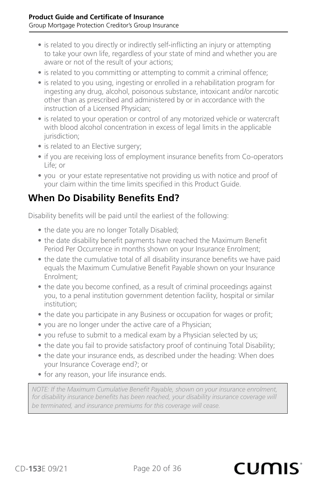- <span id="page-19-0"></span>• is related to you directly or indirectly self-inflicting an injury or attempting to take your own life, regardless of your state of mind and whether you are aware or not of the result of your actions;
- is related to you committing or attempting to commit a criminal offence;
- is related to you using, ingesting or enrolled in a rehabilitation program for ingesting any drug, alcohol, poisonous substance, intoxicant and/or narcotic other than as prescribed and administered by or in accordance with the instruction of a Licensed Physician;
- is related to your operation or control of any motorized vehicle or watercraft with blood alcohol concentration in excess of legal limits in the applicable jurisdiction:
- is related to an Elective surgery;
- if you are receiving loss of employment insurance benefits from Co-operators Life; or
- you or your estate representative not providing us with notice and proof of your claim within the time limits specified in this Product Guide.

## **When Do Disability Benefits End?**

Disability benefits will be paid until the earliest of the following:

- the date you are no longer Totally Disabled;
- the date disability benefit payments have reached the Maximum Benefit Period Per Occurrence in months shown on your Insurance Enrolment;
- the date the cumulative total of all disability insurance benefits we have paid equals the Maximum Cumulative Benefit Payable shown on your Insurance Enrolment;
- the date you become confined, as a result of criminal proceedings against you, to a penal institution government detention facility, hospital or similar institution;
- the date you participate in any Business or occupation for wages or profit;
- you are no longer under the active care of a Physician;
- you refuse to submit to a medical exam by a Physician selected by us;
- the date you fail to provide satisfactory proof of continuing Total Disability;
- the date your insurance ends, as described under the heading: When does your Insurance Coverage end?; or
- for any reason, your life insurance ends.

*NOTE: If the Maximum Cumulative Benefit Payable, shown on your insurance enrolment,*  for disability insurance benefits has been reached, your disability insurance coverage will *be terminated, and insurance premiums for this coverage will cease.*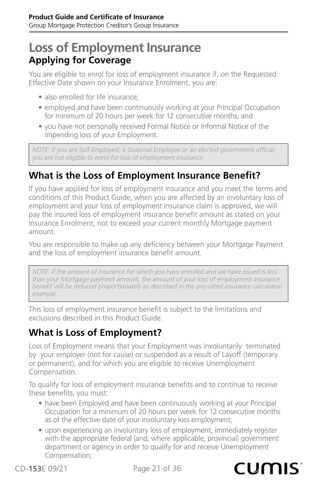## <span id="page-20-0"></span>**Loss of Employment Insurance Applying for Coverage**

You are eligible to enrol for loss of employment insurance if, on the Requested Effective Date shown on your Insurance Enrolment, you are:

- also enrolled for life insurance;
- employed and have been continuously working at your Principal Occupation for minimum of 20 hours per week for 12 consecutive months; and
- you have not personally received Formal Notice or Informal Notice of the impending loss of your Employment.

*NOTE: If you are Self-Employed, a Seasonal Employee or an elected government official, you are not eligible to enrol for loss of employment insurance.*

### **What is the Loss of Employment Insurance Benefit?**

If you have applied for loss of employment insurance and you meet the terms and conditions of this Product Guide, when you are affected by an involuntary loss of employment and your loss of employment insurance claim is approved, we will pay the insured loss of employment insurance benefit amount as stated on your Insurance Enrolment, not to exceed your current monthly Mortgage payment amount.

You are responsible to make up any deficiency between your Mortgage Payment and the loss of employment insurance benefit amount.

*NOTE: If the amount of insurance for which you have enrolled and we have issued is less than your Mortgage payment amount, the amount of your loss of employment insurance benefit will be reduced proportionately as described in the pro-rated insurance calculation example.*

This loss of employment insurance benefit is subject to the limitations and exclusions described in this Product Guide.

## **What is Loss of Employment?**

Loss of Employment means that your Employment was involuntarily terminated by your employer (not for cause) or suspended as a result of Layoff (temporary or permanent), and for which you are eligible to receive Unemployment Compensation.

To qualify for loss of employment insurance benefits and to continue to receive these benefits, you must:

- have been Employed and have been continuously working at your Principal Occupation for a minimum of 20 hours per week for 12 consecutive months as of the effective date of your involuntary loss employment;
- upon experiencing an involuntary loss of employment, immediately register with the appropriate federal (and, where applicable, provincial) government department or agency in order to qualify for and receive Unemployment Compensation;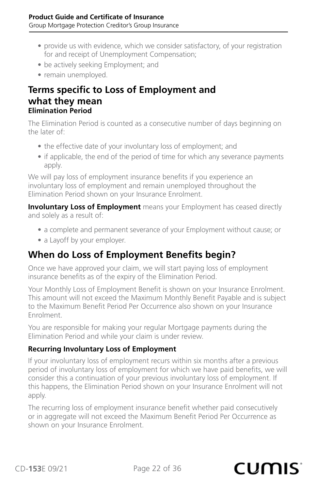- <span id="page-21-0"></span>• provide us with evidence, which we consider satisfactory, of your registration for and receipt of Unemployment Compensation;
- be actively seeking Employment; and
- remain unemployed.

#### **Terms specific to Loss of Employment and what they mean Elimination Period**

The Elimination Period is counted as a consecutive number of days beginning on the later of:

- the effective date of your involuntary loss of employment; and
- if applicable, the end of the period of time for which any severance payments apply.

We will pay loss of employment insurance benefits if you experience an involuntary loss of employment and remain unemployed throughout the Elimination Period shown on your Insurance Enrolment.

**Involuntary Loss of Employment** means your Employment has ceased directly and solely as a result of:

- a complete and permanent severance of your Employment without cause; or
- a Layoff by your employer.

#### **When do Loss of Employment Benefits begin?**

Once we have approved your claim, we will start paying loss of employment insurance benefits as of the expiry of the Elimination Period.

Your Monthly Loss of Employment Benefit is shown on your Insurance Enrolment. This amount will not exceed the Maximum Monthly Benefit Payable and is subject to the Maximum Benefit Period Per Occurrence also shown on your Insurance Enrolment.

You are responsible for making your regular Mortgage payments during the Elimination Period and while your claim is under review.

#### **Recurring Involuntary Loss of Employment**

If your involuntary loss of employment recurs within six months after a previous period of involuntary loss of employment for which we have paid benefits, we will consider this a continuation of your previous involuntary loss of employment. If this happens, the Elimination Period shown on your Insurance Enrolment will not apply.

The recurring loss of employment insurance benefit whether paid consecutively or in aggregate will not exceed the Maximum Benefit Period Per Occurrence as shown on your Insurance Enrolment.

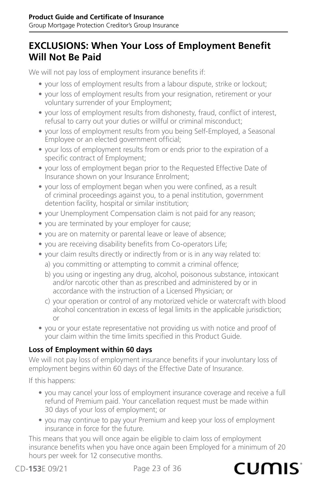### <span id="page-22-0"></span>**EXCLUSIONS: When Your Loss of Employment Benefit Will Not Be Paid**

We will not pay loss of employment insurance benefits if:

- your loss of employment results from a labour dispute, strike or lockout;
- your loss of employment results from your resignation, retirement or your voluntary surrender of your Employment;
- your loss of employment results from dishonesty, fraud, conflict of interest, refusal to carry out your duties or willful or criminal misconduct;
- your loss of employment results from you being Self-Employed, a Seasonal Employee or an elected government official;
- your loss of employment results from or ends prior to the expiration of a specific contract of Employment;
- your loss of employment began prior to the Requested Effective Date of Insurance shown on your Insurance Enrolment;
- your loss of employment began when you were confined, as a result of criminal proceedings against you, to a penal institution, government detention facility, hospital or similar institution;
- your Unemployment Compensation claim is not paid for any reason;
- you are terminated by your employer for cause;
- you are on maternity or parental leave or leave of absence;
- you are receiving disability benefits from Co-operators Life;
- your claim results directly or indirectly from or is in any way related to:
	- a) you committing or attempting to commit a criminal offence;
	- b) you using or ingesting any drug, alcohol, poisonous substance, intoxicant and/or narcotic other than as prescribed and administered by or in accordance with the instruction of a Licensed Physician; or
	- c) your operation or control of any motorized vehicle or watercraft with blood alcohol concentration in excess of legal limits in the applicable jurisdiction;  $\Omega$ r
- you or your estate representative not providing us with notice and proof of your claim within the time limits specified in this Product Guide.

#### **Loss of Employment within 60 days**

We will not pay loss of employment insurance benefits if your involuntary loss of employment begins within 60 days of the Effective Date of Insurance.

If this happens:

- you may cancel your loss of employment insurance coverage and receive a full refund of Premium paid. Your cancellation request must be made within 30 days of your loss of employment; or
- you may continue to pay your Premium and keep your loss of employment insurance in force for the future.

This means that you will once again be eligible to claim loss of employment insurance benefits when you have once again been Employed for a minimum of 20 hours per week for 12 consecutive months.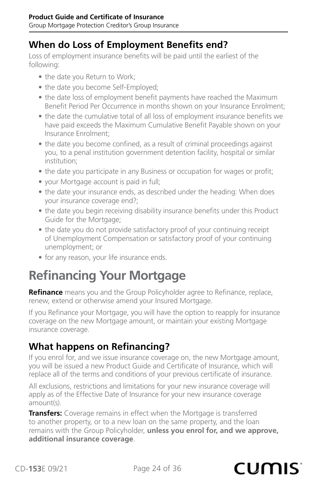### <span id="page-23-0"></span>**When do Loss of Employment Benefits end?**

Loss of employment insurance benefits will be paid until the earliest of the following:

- the date you Return to Work;
- the date you become Self-Employed;
- the date loss of employment benefit payments have reached the Maximum Benefit Period Per Occurrence in months shown on your Insurance Enrolment;
- the date the cumulative total of all loss of employment insurance benefits we have paid exceeds the Maximum Cumulative Benefit Payable shown on your Insurance Enrolment;
- the date you become confined, as a result of criminal proceedings against you, to a penal institution government detention facility, hospital or similar institution;
- the date you participate in any Business or occupation for wages or profit;
- your Mortgage account is paid in full;
- the date your insurance ends, as described under the heading: When does your insurance coverage end?;
- the date you begin receiving disability insurance benefits under this Product Guide for the Mortgage;
- the date you do not provide satisfactory proof of your continuing receipt of Unemployment Compensation or satisfactory proof of your continuing unemployment; or
- for any reason, your life insurance ends.

## **Refinancing Your Mortgage**

**Refinance** means you and the Group Policyholder agree to Refinance, replace, renew, extend or otherwise amend your Insured Mortgage.

If you Refinance your Mortgage, you will have the option to reapply for insurance coverage on the new Mortgage amount, or maintain your existing Mortgage insurance coverage.

## **What happens on Refinancing?**

If you enrol for, and we issue insurance coverage on, the new Mortgage amount, you will be issued a new Product Guide and Certificate of Insurance, which will replace all of the terms and conditions of your previous certificate of insurance.

All exclusions, restrictions and limitations for your new insurance coverage will apply as of the Effective Date of Insurance for your new insurance coverage amount(s).

**Transfers:** Coverage remains in effect when the Mortgage is transferred to another property, or to a new loan on the same property, and the loan remains with the Group Policyholder, **unless you enrol for, and we approve, additional insurance coverage**.

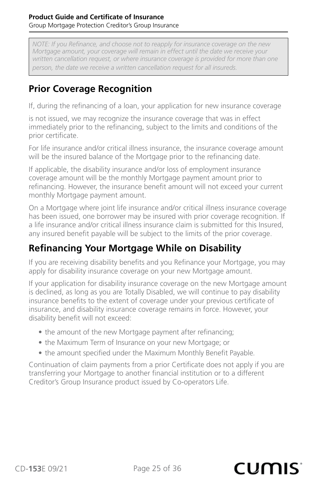<span id="page-24-0"></span>*NOTE: If you Refinance, and choose not to reapply for insurance coverage on the new Mortgage amount, your coverage will remain in effect until the date we receive your*  written cancellation request, or where insurance coverage is provided for more than one *person, the date we receive a written cancellation request for all insureds.*

## **Prior Coverage Recognition**

If, during the refinancing of a loan, your application for new insurance coverage

is not issued, we may recognize the insurance coverage that was in effect immediately prior to the refinancing, subject to the limits and conditions of the prior certificate.

For life insurance and/or critical illness insurance, the insurance coverage amount will be the insured balance of the Mortgage prior to the refinancing date.

If applicable, the disability insurance and/or loss of employment insurance coverage amount will be the monthly Mortgage payment amount prior to refinancing. However, the insurance benefit amount will not exceed your current monthly Mortgage payment amount.

On a Mortgage where joint life insurance and/or critical illness insurance coverage has been issued, one borrower may be insured with prior coverage recognition. If a life insurance and/or critical illness insurance claim is submitted for this Insured, any insured benefit payable will be subject to the limits of the prior coverage.

## **Refinancing Your Mortgage While on Disability**

If you are receiving disability benefits and you Refinance your Mortgage, you may apply for disability insurance coverage on your new Mortgage amount.

If your application for disability insurance coverage on the new Mortgage amount is declined, as long as you are Totally Disabled, we will continue to pay disability insurance benefits to the extent of coverage under your previous certificate of insurance, and disability insurance coverage remains in force. However, your disability benefit will not exceed:

- the amount of the new Mortgage payment after refinancing;
- the Maximum Term of Insurance on your new Mortgage; or
- the amount specified under the Maximum Monthly Benefit Payable.

Continuation of claim payments from a prior Certificate does not apply if you are transferring your Mortgage to another financial institution or to a different Creditor's Group Insurance product issued by Co-operators Life.

#### CD-**153**E 09/21 Page 25 of 36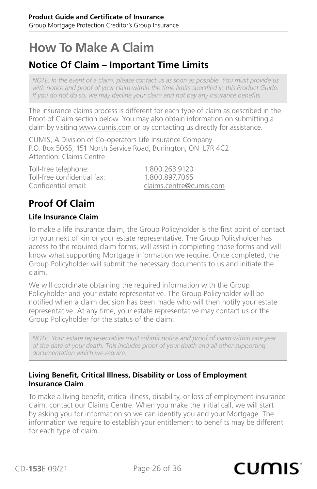## <span id="page-25-0"></span>**How To Make A Claim**

### **Notice Of Claim – Important Time Limits**

*NOTE: In the event of a claim, please contact us as soon as possible. You must provide us with notice and proof of your claim within the time limits specified in this Product Guide. If you do not do so, we may decline your claim and not pay any insurance benefits.*

The insurance claims process is different for each type of claim as described in the Proof of Claim section below. You may also obtain information on submitting a claim by visiting [www.cumis.com](https://www.cumis.com/) or by contacting us directly for assistance.

CUMIS, A Division of Co-operators Life Insurance Company P.O. Box 5065, 151 North Service Road, Burlington, ON L7R 4C2 Attention: Claims Centre

Toll-free telephone: 1.800.263.9120 Toll-free confidential fax:  $\begin{array}{ccc} 1.800.897.7065 \\ \text{Confidential email:} \end{array}$ 

[claims.centre@cumis.com](mailto:claims.centre%40cumis.com?subject=)

## **Proof Of Claim**

#### **Life Insurance Claim**

To make a life insurance claim, the Group Policyholder is the first point of contact for your next of kin or your estate representative. The Group Policyholder has access to the required claim forms, will assist in completing those forms and will know what supporting Mortgage information we require. Once completed, the Group Policyholder will submit the necessary documents to us and initiate the claim.

We will coordinate obtaining the required information with the Group Policyholder and your estate representative. The Group Policyholder will be notified when a claim decision has been made who will then notify your estate representative. At any time, your estate representative may contact us or the Group Policyholder for the status of the claim.

*NOTE: Your estate representative must submit notice and proof of claim within one year of the date of your death. This includes proof of your death and all other supporting documentation which we require.*

#### **Living Benefit, Critical Illness, Disability or Loss of Employment Insurance Claim**

To make a living benefit, critical illness, disability, or loss of employment insurance claim, contact our Claims Centre. When you make the initial call, we will start by asking you for information so we can identify you and your Mortgage. The information we require to establish your entitlement to benefits may be different for each type of claim.

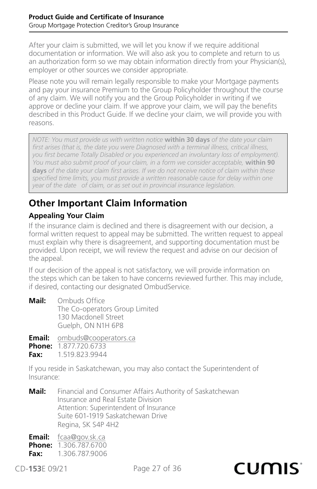<span id="page-26-0"></span>After your claim is submitted, we will let you know if we require additional documentation or information. We will also ask you to complete and return to us an authorization form so we may obtain information directly from your Physician(s), employer or other sources we consider appropriate.

Please note you will remain legally responsible to make your Mortgage payments and pay your insurance Premium to the Group Policyholder throughout the course of any claim. We will notify you and the Group Policyholder in writing if we approve or decline your claim. If we approve your claim, we will pay the benefits described in this Product Guide. If we decline your claim, we will provide you with reasons.

*NOTE: You must provide us with written notice* **within 30 days** *of the date your claim first arises (that is, the date you were Diagnosed with a terminal illness, critical illness, you first became Totally Disabled or you experienced an involuntary loss of employment). You must also submit proof of your claim, in a form we consider acceptable,* **within 90 days** *of the date your claim first arises. If we do not receive notice of claim within these specified time limits, you must provide a written reasonable cause for delay within one year of the date of claim, or as set out in provincial insurance legislation.*

## **Other Important Claim Information**

#### **Appealing Your Claim**

If the insurance claim is declined and there is disagreement with our decision, a formal written request to appeal may be submitted. The written request to appeal must explain why there is disagreement, and supporting documentation must be provided. Upon receipt, we will review the request and advise on our decision of the appeal.

If our decision of the appeal is not satisfactory, we will provide information on the steps which can be taken to have concerns reviewed further. This may include, if desired, contacting our designated OmbudService.

| <b>Mail:</b> Ombuds Office     |
|--------------------------------|
| The Co-operators Group Limited |
| 130 Macdonell Street           |
| Guelph, ON N1H 6P8             |

**Email:** [ombuds@cooperators.ca](mailto:ombuds%40cooperators.ca?subject=) **Phone:** 1.877.720.6733 **Fax:** 1.519.823.9944

If you reside in Saskatchewan, you may also contact the Superintendent of Insurance:

**Mail:** Financial and Consumer Affairs Authority of Saskatchewan Insurance and Real Estate Division Attention: Superintendent of Insurance Suite 601-1919 Saskatchewan Drive Regina, SK S4P 4H2

**Email:** [fcaa@gov.sk.ca](mailto:fcaa%40gov.sk.ca?subject=) **Phone:** 1.306.787.6700 **Fax:** 1.306.787.9006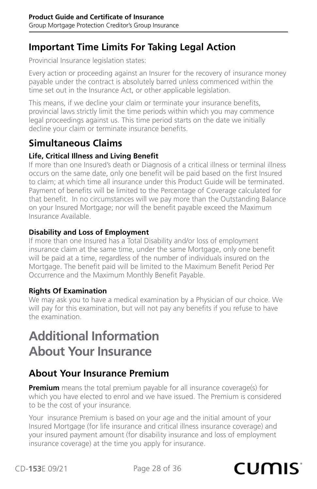### <span id="page-27-0"></span>**Important Time Limits For Taking Legal Action**

Provincial Insurance legislation states:

Every action or proceeding against an Insurer for the recovery of insurance money payable under the contract is absolutely barred unless commenced within the time set out in the Insurance Act, or other applicable legislation.

This means, if we decline your claim or terminate your insurance benefits, provincial laws strictly limit the time periods within which you may commence legal proceedings against us. This time period starts on the date we initially decline your claim or terminate insurance benefits.

### **Simultaneous Claims**

#### **Life, Critical Illness and Living Benefit**

If more than one Insured's death or Diagnosis of a critical illness or terminal illness occurs on the same date, only one benefit will be paid based on the first Insured to claim; at which time all insurance under this Product Guide will be terminated. Payment of benefits will be limited to the Percentage of Coverage calculated for that benefit. In no circumstances will we pay more than the Outstanding Balance on your Insured Mortgage; nor will the benefit payable exceed the Maximum Insurance Available.

#### **Disability and Loss of Employment**

If more than one Insured has a Total Disability and/or loss of employment insurance claim at the same time, under the same Mortgage, only one benefit will be paid at a time, regardless of the number of individuals insured on the Mortgage. The benefit paid will be limited to the Maximum Benefit Period Per Occurrence and the Maximum Monthly Benefit Payable.

#### **Rights Of Examination**

We may ask you to have a medical examination by a Physician of our choice. We will pay for this examination, but will not pay any benefits if you refuse to have the examination.

## **Additional Information About Your Insurance**

### **About Your Insurance Premium**

**Premium** means the total premium payable for all insurance coverage(s) for which you have elected to enrol and we have issued. The Premium is considered to be the cost of your insurance.

Your insurance Premium is based on your age and the initial amount of your Insured Mortgage (for life insurance and critical illness insurance coverage) and your insured payment amount (for disability insurance and loss of employment insurance coverage) at the time you apply for insurance.

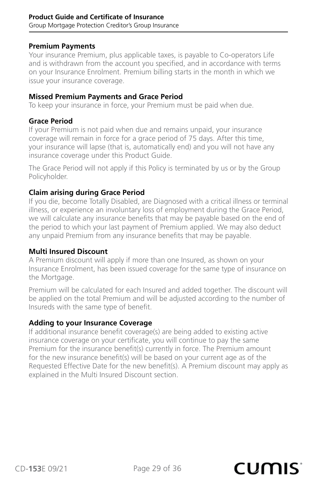#### **Premium Payments**

Your insurance Premium, plus applicable taxes, is payable to Co-operators Life and is withdrawn from the account you specified, and in accordance with terms on your Insurance Enrolment. Premium billing starts in the month in which we issue your insurance coverage.

#### **Missed Premium Payments and Grace Period**

To keep your insurance in force, your Premium must be paid when due.

#### **Grace Period**

If your Premium is not paid when due and remains unpaid, your insurance coverage will remain in force for a grace period of 75 days. After this time, your insurance will lapse (that is, automatically end) and you will not have any insurance coverage under this Product Guide.

The Grace Period will not apply if this Policy is terminated by us or by the Group Policyholder.

#### **Claim arising during Grace Period**

If you die, become Totally Disabled, are Diagnosed with a critical illness or terminal illness, or experience an involuntary loss of employment during the Grace Period, we will calculate any insurance benefits that may be payable based on the end of the period to which your last payment of Premium applied. We may also deduct any unpaid Premium from any insurance benefits that may be payable.

#### **Multi Insured Discount**

A Premium discount will apply if more than one Insured, as shown on your Insurance Enrolment, has been issued coverage for the same type of insurance on the Mortgage.

Premium will be calculated for each Insured and added together. The discount will be applied on the total Premium and will be adjusted according to the number of Insureds with the same type of benefit.

#### **Adding to your Insurance Coverage**

If additional insurance benefit coverage(s) are being added to existing active insurance coverage on your certificate, you will continue to pay the same Premium for the insurance benefit(s) currently in force. The Premium amount for the new insurance benefit(s) will be based on your current age as of the Requested Effective Date for the new benefit(s). A Premium discount may apply as explained in the Multi Insured Discount section.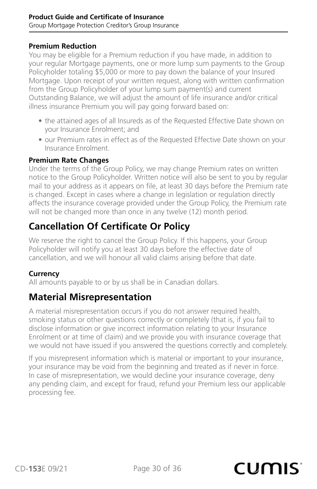#### <span id="page-29-0"></span>**Premium Reduction**

You may be eligible for a Premium reduction if you have made, in addition to your regular Mortgage payments, one or more lump sum payments to the Group Policyholder totaling \$5,000 or more to pay down the balance of your Insured Mortgage. Upon receipt of your written request, along with written confirmation from the Group Policyholder of your lump sum payment(s) and current Outstanding Balance, we will adjust the amount of life insurance and/or critical illness insurance Premium you will pay going forward based on:

- the attained ages of all Insureds as of the Requested Effective Date shown on your Insurance Enrolment; and
- our Premium rates in effect as of the Requested Effective Date shown on your Insurance Enrolment.

#### **Premium Rate Changes**

Under the terms of the Group Policy, we may change Premium rates on written notice to the Group Policyholder. Written notice will also be sent to you by regular mail to your address as it appears on file, at least 30 days before the Premium rate is changed. Except in cases where a change in legislation or regulation directly affects the insurance coverage provided under the Group Policy, the Premium rate will not be changed more than once in any twelve (12) month period.

## **Cancellation Of Certificate Or Policy**

We reserve the right to cancel the Group Policy. If this happens, your Group Policyholder will notify you at least 30 days before the effective date of cancellation, and we will honour all valid claims arising before that date.

#### **Currency**

All amounts payable to or by us shall be in Canadian dollars.

#### **Material Misrepresentation**

A material misrepresentation occurs if you do not answer required health, smoking status or other questions correctly or completely (that is, if you fail to disclose information or give incorrect information relating to your Insurance Enrolment or at time of claim) and we provide you with insurance coverage that we would not have issued if you answered the questions correctly and completely.

If you misrepresent information which is material or important to your insurance, your insurance may be void from the beginning and treated as if never in force. In case of misrepresentation, we would decline your insurance coverage, deny any pending claim, and except for fraud, refund your Premium less our applicable processing fee.

#### CD-**153**E 09/21 Page 30 of 36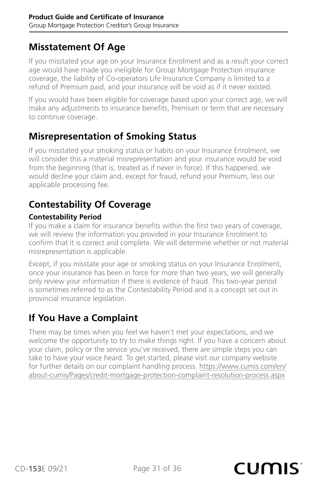#### <span id="page-30-0"></span>**Misstatement Of Age**

If you misstated your age on your Insurance Enrolment and as a result your correct age would have made you ineligible for Group Mortgage Protection insurance coverage, the liability of Co-operators Life Insurance Company is limited to a refund of Premium paid, and your insurance will be void as if it never existed.

If you would have been eligible for coverage based upon your correct age, we will make any adjustments to insurance benefits, Premium or term that are necessary to continue coverage.

#### **Misrepresentation of Smoking Status**

If you misstated your smoking status or habits on your Insurance Enrolment, we will consider this a material misrepresentation and your insurance would be void from the beginning (that is, treated as if never in force). If this happened, we would decline your claim and, except for fraud, refund your Premium, less our applicable processing fee.

## **Contestability Of Coverage**

#### **Contestability Period**

If you make a claim for insurance benefits within the first two years of coverage, we will review the information you provided in your Insurance Enrolment to confirm that it is correct and complete. We will determine whether or not material misrepresentation is applicable.

Except, if you misstate your age or smoking status on your Insurance Enrolment, once your insurance has been in force for more than two years, we will generally only review your information if there is evidence of fraud. This two-year period is sometimes referred to as the Contestability Period and is a concept set out in provincial insurance legislation.

## **If You Have a Complaint**

There may be times when you feel we haven't met your expectations, and we welcome the opportunity to try to make things right. If you have a concern about your claim, policy or the service you've received, there are simple steps you can take to have your voice heard. To get started, please visit our company website for further details on our complaint handling process. [https://www.cumis.com/en/](https://www.cumis.com/en/about-cumis/Pages/credit-mortgage-protection-complaint-resolution-process.aspx) [about-cumis/Pages/credit-mortgage-protection-complaint-resolution-process.aspx](https://www.cumis.com/en/about-cumis/Pages/credit-mortgage-protection-complaint-resolution-process.aspx)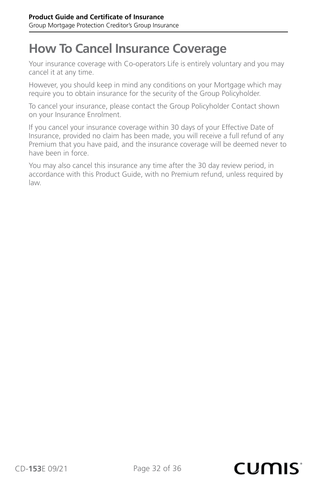## <span id="page-31-0"></span>**How To Cancel Insurance Coverage**

Your insurance coverage with Co-operators Life is entirely voluntary and you may cancel it at any time.

However, you should keep in mind any conditions on your Mortgage which may require you to obtain insurance for the security of the Group Policyholder.

To cancel your insurance, please contact the Group Policyholder Contact shown on your Insurance Enrolment.

If you cancel your insurance coverage within 30 days of your Effective Date of Insurance, provided no claim has been made, you will receive a full refund of any Premium that you have paid, and the insurance coverage will be deemed never to have been in force.

You may also cancel this insurance any time after the 30 day review period, in accordance with this Product Guide, with no Premium refund, unless required by law.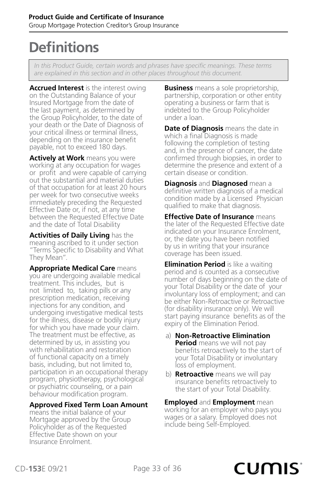## <span id="page-32-0"></span>**Definitions**

 *In this Product Guide, certain words and phrases have specific meanings. These terms are explained in this section and in other places throughout this document.*

**Accrued Interest** is the interest owing on the Outstanding Balance of your Insured Mortgage from the date of the last payment, as determined by the Group Policyholder, to the date of your death or the Date of Diagnosis of your critical illness or terminal illness, depending on the insurance benefit payable, not to exceed 180 days.

**Actively at Work** means you were working at any occupation for wages or profit and were capable of carrying out the substantial and material duties of that occupation for at least 20 hours per week for two consecutive weeks immediately preceding the Requested Effective Date or, if not, at any time between the Requested Effective Date and the date of Total Disability

**Activities of Daily Living** has the meaning ascribed to it under section "Terms Specific to Disability and What They Mean".

**Appropriate Medical Care** means you are undergoing available medical treatment. This includes, but is not limited to, taking pills or any prescription medication, receiving injections for any condition, and undergoing investigative medical tests for the illness, disease or bodily injury for which you have made your claim. The treatment must be effective, as determined by us, in assisting you with rehabilitation and restoration of functional capacity on a timely basis, including, but not limited to, participation in an occupational therapy program, physiotherapy, psychological or psychiatric counseling, or a pain behaviour modification program.

#### **Approved Fixed Term Loan Amount**

means the initial balance of your Mortgage approved by the Group Policyholder as of the Requested Effective Date shown on your Insurance Enrolment.

**Business** means a sole proprietorship, partnership, corporation or other entity operating a business or farm that is indebted to the Group Policyholder under a loan.

**Date of Diagnosis** means the date in which a final Diagnosis is made following the completion of testing and, in the presence of cancer, the date confirmed through biopsies, in order to determine the presence and extent of a certain disease or condition.

**Diagnosis** and **Diagnosed** mean a definitive written diagnosis of a medical condition made by a Licensed Physician qualified to make that diagnosis.

**Effective Date of Insurance** means the later of the Requested Effective date indicated on your Insurance Enrolment, or, the date you have been notified by us in writing that your insurance coverage has been issued.

**Elimination Period** is like a waiting period and is counted as a consecutive number of days beginning on the date of your Total Disability or the date of your involuntary loss of employment; and can be either Non-Retroactive or Retroactive (for disability insurance only). We will start paying insurance benefits as of the expiry of the Elimination Period.

- a) **Non-Retroactive Elimination Period** means we will not pay benefits retroactively to the start of your Total Disability or involuntary loss of employment.
- b) **Retroactive** means we will pay insurance benefits retroactively to the start of your Total Disability.

**Employed** and **Employment** mean working for an employer who pays you wages or a salary. Employed does not include being Self-Employed.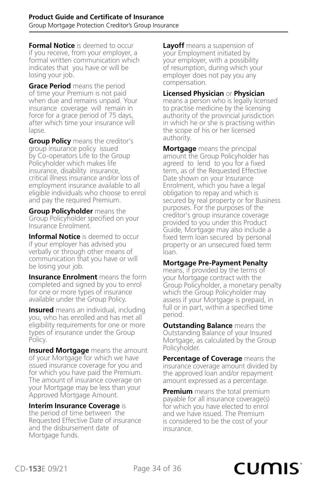**Formal Notice** is deemed to occur if you receive, from your employer, a formal written communication which indicates that you have or will be losing your job.

**Grace Period** means the period of time your Premium is not paid when due and remains unpaid. Your insurance coverage will remain in force for a grace period of 75 days, after which time your insurance will lapse.

**Group Policy** means the creditor's group insurance policy issued by Co-operators Life to the Group Policyholder which makes life insurance, disability insurance, critical illness insurance and/or loss of employment insurance available to all eligible individuals who choose to enrol and pay the required Premium.

**Group Policyholder** means the Group Policyholder specified on your Insurance Enrolment.

**Informal Notice** is deemed to occur if your employer has advised you verbally or through other means of communication that you have or will be losing your job.

**Insurance Enrolment** means the form completed and signed by you to enrol for one or more types of insurance available under the Group Policy.

**Insured** means an individual, including you, who has enrolled and has met all eligibility requirements for one or more types of insurance under the Group Policy.

**Insured Mortgage** means the amount of your Mortgage for which we have issued insurance coverage for you and for which you have paid the Premium. The amount of insurance coverage on your Mortgage may be less than your Approved Mortgage Amount.

**Interim Insurance Coverage** is

the period of time between the Requested Effective Date of insurance and the disbursement date of Mortgage funds.

**Layoff** means a suspension of your Employment initiated by your employer, with a possibility of resumption, during which your employer does not pay you any compensation.

#### **Licensed Physician** or **Physician**

means a person who is legally licensed to practise medicine by the licensing authority of the provincial jurisdiction in which he or she is practising within the scope of his or her licensed authority.

**Mortgage** means the principal amount the Group Policyholder has agreed to lend to you for a fixed term, as of the Requested Effective Date shown on your Insurance Enrolment, which you have a legal obligation to repay and which is secured by real property or for Business purposes. For the purposes of the creditor's group insurance coverage provided to you under this Product Guide, Mortgage may also include a fixed term loan secured by personal property or an unsecured fixed term loan.

#### **Mortgage Pre-Payment Penalty**

means, if provided by the terms of your Mortgage contract with the Group Policyholder, a monetary penalty which the Group Policyholder may assess if your Mortgage is prepaid, in full or in part, within a specified time period.

**Outstanding Balance** means the Outstanding Balance of your Insured Mortgage, as calculated by the Group Policyholder.

**Percentage of Coverage** means the insurance coverage amount divided by the approved loan and/or repayment amount expressed as a percentage.

**Premium** means the total premium payable for all insurance coverage(s) for which you have elected to enrol and we have issued. The Premium is considered to be the cost of your insurance.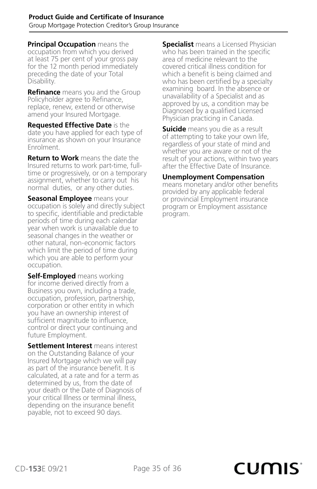**Principal Occupation** means the occupation from which you derived at least 75 per cent of your gross pay for the 12 month period immediately preceding the date of your Total Disability.

**Refinance** means you and the Group Policyholder agree to Refinance, replace, renew, extend or otherwise amend your Insured Mortgage.

**Requested Effective Date** is the date you have applied for each type of insurance as shown on your Insurance Enrolment.

**Return to Work** means the date the Insured returns to work part-time, fulltime or progressively, or on a temporary assignment, whether to carry out his normal duties, or any other duties.

**Seasonal Employee** means your occupation is solely and directly subject to specific, identifiable and predictable periods of time during each calendar year when work is unavailable due to seasonal changes in the weather or other natural, non-economic factors which limit the period of time during which you are able to perform your occupation.

**Self-Employed** means working for income derived directly from a Business you own, including a trade, occupation, profession, partnership, corporation or other entity in which you have an ownership interest of sufficient magnitude to influence, control or direct your continuing and future Employment.

**Settlement Interest** means interest on the Outstanding Balance of your Insured Mortgage which we will pay as part of the insurance benefit. It is calculated, at a rate and for a term as determined by us, from the date of your death or the Date of Diagnosis of your critical Illness or terminal illness, depending on the insurance benefit payable, not to exceed 90 days.

**Specialist** means a Licensed Physician who has been trained in the specific area of medicine relevant to the covered critical illness condition for which a benefit is being claimed and who has been certified by a specialty examining board. In the absence or unavailability of a Specialist and as approved by us, a condition may be Diagnosed by a qualified Licensed Physician practicing in Canada.

**Suicide** means you die as a result of attempting to take your own life, regardless of your state of mind and whether you are aware or not of the result of your actions, within two years after the Effective Date of Insurance.

#### **Unemployment Compensation**

means monetary and/or other benefits provided by any applicable federal or provincial Employment insurance program or Employment assistance program.